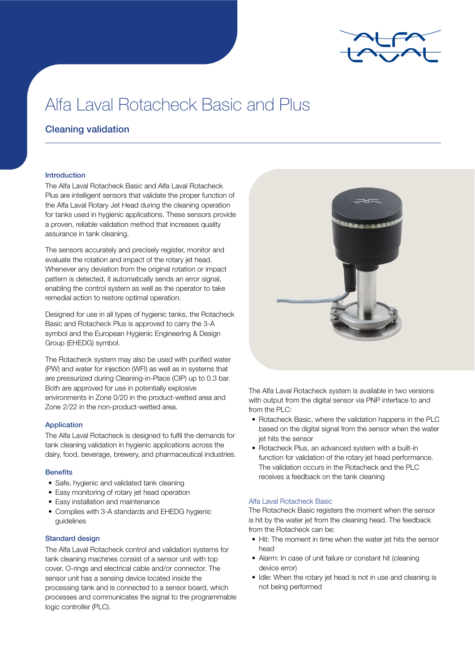

# Alfa Laval Rotacheck Basic and Plus

# Cleaning validation

# Introduction

The Alfa Laval Rotacheck Basic and Alfa Laval Rotacheck Plus are intelligent sensors that validate the proper function of the Alfa Laval Rotary Jet Head during the cleaning operation for tanks used in hygienic applications. These sensors provide a proven, reliable validation method that increases quality assurance in tank cleaning.

The sensors accurately and precisely register, monitor and evaluate the rotation and impact of the rotary jet head. Whenever any deviation from the original rotation or impact pattern is detected, it automatically sends an error signal, enabling the control system as well as the operator to take remedial action to restore optimal operation.

Designed for use in all types of hygienic tanks, the Rotacheck Basic and Rotacheck Plus is approved to carry the 3-A symbol and the European Hygienic Engineering & Design Group (EHEDG) symbol.

The Rotacheck system may also be used with purified water (PW) and water for injection (WFI) as well as in systems that are pressurized during Cleaning-in-Place (CIP) up to 0.3 bar. Both are approved for use in potentially explosive environments in Zone 0/20 in the product-wetted area and Zone 2/22 in the non-product-wetted area.

#### Application

The Alfa Laval Rotacheck is designed to fulfil the demands for tank cleaning validation in hygienic applications across the dairy, food, beverage, brewery, and pharmaceutical industries.

#### **Benefits**

- Safe, hygienic and validated tank cleaning
- Easy monitoring of rotary jet head operation
- Easy installation and maintenance
- Complies with 3-A standards and EHEDG hygienic guidelines

# Standard design

The Alfa Laval Rotacheck control and validation systems for tank cleaning machines consist of a sensor unit with top cover, O-rings and electrical cable and/or connector. The sensor unit has a sensing device located inside the processing tank and is connected to a sensor board, which processes and communicates the signal to the programmable logic controller (PLC).



The Alfa Laval Rotacheck system is available in two versions with output from the digital sensor via PNP interface to and from the PLC:

- Rotacheck Basic, where the validation happens in the PLC based on the digital signal from the sensor when the water jet hits the sensor
- Rotacheck Plus, an advanced system with a built-in function for validation of the rotary jet head performance. The validation occurs in the Rotacheck and the PLC receives a feedback on the tank cleaning

# Alfa Laval Rotacheck Basic

The Rotacheck Basic registers the moment when the sensor is hit by the water jet from the cleaning head. The feedback from the Rotacheck can be:

- Hit: The moment in time when the water jet hits the sensor head
- Alarm: In case of unit failure or constant hit (cleaning device error)
- Idle: When the rotary jet head is not in use and cleaning is not being performed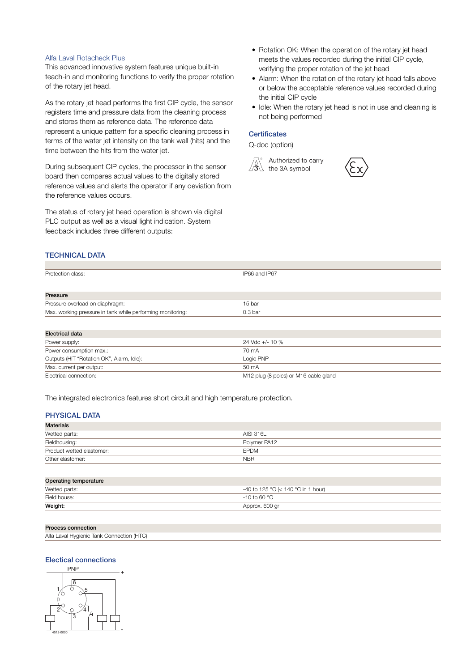#### Alfa Laval Rotacheck Plus

This advanced innovative system features unique built-in teach-in and monitoring functions to verify the proper rotation of the rotary jet head.

As the rotary jet head performs the first CIP cycle, the sensor registers time and pressure data from the cleaning process and stores them as reference data. The reference data represent a unique pattern for a specific cleaning process in terms of the water jet intensity on the tank wall (hits) and the time between the hits from the water jet.

During subsequent CIP cycles, the processor in the sensor board then compares actual values to the digitally stored reference values and alerts the operator if any deviation from the reference values occurs.

The status of rotary jet head operation is shown via digital PLC output as well as a visual light indication. System feedback includes three different outputs:

- Rotation OK: When the operation of the rotary jet head meets the values recorded during the initial CIP cycle, verifying the proper rotation of the jet head
- Alarm: When the rotation of the rotary jet head falls above or below the acceptable reference values recorded during the initial CIP cycle
- Idle: When the rotary jet head is not in use and cleaning is not being performed

# **Certificates**

Q-doc (option)





# TECHNICAL DATA

| Protection class:                                          | IP66 and IP67      |  |
|------------------------------------------------------------|--------------------|--|
|                                                            |                    |  |
| Pressure                                                   |                    |  |
| Pressure overload on diaphragm:                            | 15 bar             |  |
| Max. working pressure in tank while performing monitoring: | 0.3 <sub>bar</sub> |  |

| Electrical data                           |                                       |
|-------------------------------------------|---------------------------------------|
| Power supply:                             | $24$ Vdc +/- 10 %                     |
| Power consumption max.:                   | 70 mA                                 |
| Outputs (HIT "Rotation OK", Alarm, Idle): | Logic PNP                             |
| Max. current per output:                  | $50 \text{ mA}$                       |
| Electrical connection:                    | M12 plug (8 poles) or M16 cable gland |

The integrated electronics features short circuit and high temperature protection.

# PHYSICAL DATA

| <b>Materials</b>          |              |  |
|---------------------------|--------------|--|
| Wetted parts:             | AISI 316L    |  |
| Fieldhousing:             | Polymer PA12 |  |
| Product wetted elastomer: | <b>EPDM</b>  |  |
| Other elastomer:          | <b>NBR</b>   |  |

| Operating temperature |                                    |  |
|-----------------------|------------------------------------|--|
| Wetted parts:         | -40 to 125 °C (< 140 °C in 1 hour) |  |
| Field house:          | $-10$ to 60 °C.                    |  |
| Weight:               | Approx. 600 gr                     |  |

#### Process connection

| Alfa Laval Hygienic Tank Connection (HTC) |  |
|-------------------------------------------|--|
|                                           |  |

#### Electical connections